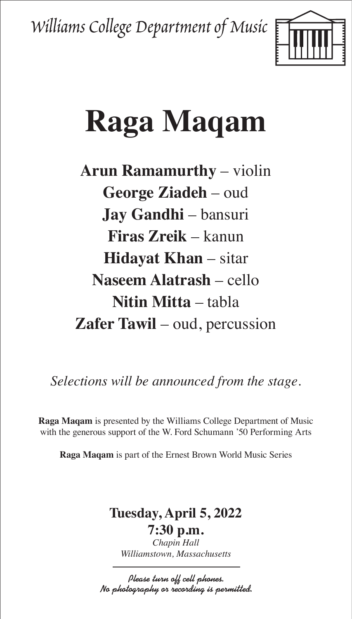Williams College Department of Music



# **Raga Maqam**

**Arun Ramamurthy** – violin **George Ziadeh** – oud **Jay Gandhi** – bansuri **Firas Zreik** – kanun **Hidayat Khan** – sitar **Naseem Alatrash** – cello **Nitin Mitta** – tabla **Zafer Tawil** – oud, percussion

*Selections will be announced from the stage.*

**Raga Maqam** is presented by the Williams College Department of Music with the generous support of the W. Ford Schumann '50 Performing Arts

**Raga Maqam** is part of the Ernest Brown World Music Series

## **Tuesday, April 5, 2022**

**7:30 p.m.** *Chapin Hall Williamstown, Massachusetts*

Please turn off cell phones. No photography or recording is permitted.